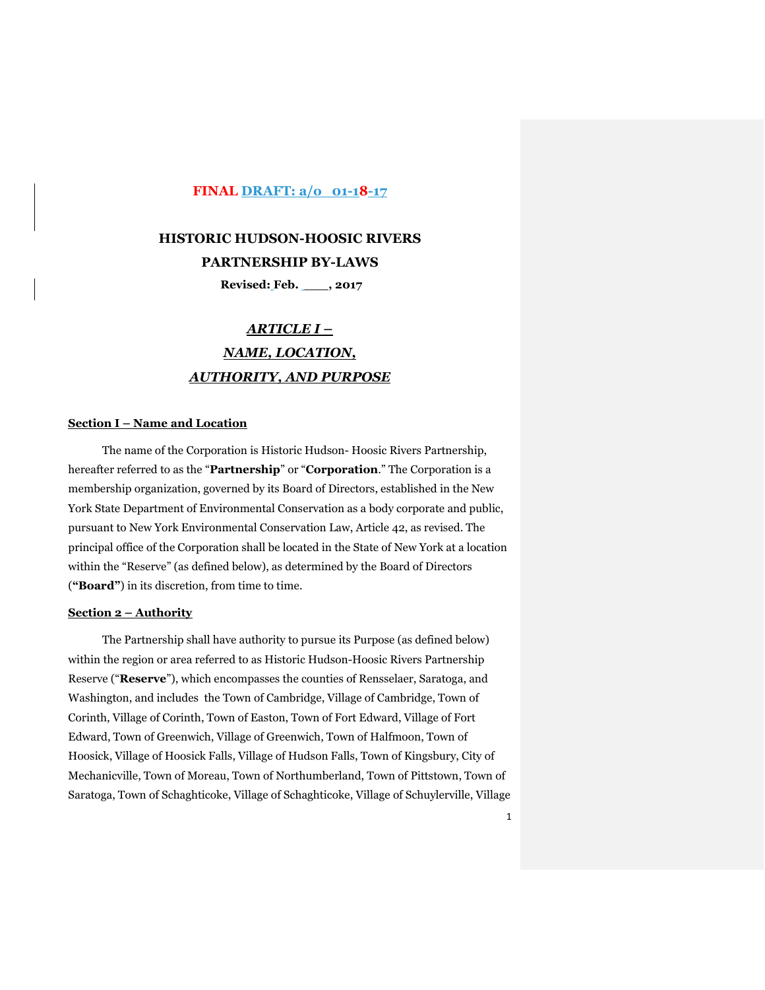## **FINAL DRAFT: a/o 01-18-17**

#### **HISTORIC HUDSON-HOOSIC RIVERS**

**PARTNERSHIP BY-LAWS**

**Revised: Feb. \_\_\_, 2017** 

# *ARTICLE I – NAME, LOCATION, AUTHORITY, AND PURPOSE*

#### **Section I – Name and Location**

The name of the Corporation is Historic Hudson- Hoosic Rivers Partnership, hereafter referred to as the "**Partnership**" or "**Corporation**." The Corporation is a membership organization, governed by its Board of Directors, established in the New York State Department of Environmental Conservation as a body corporate and public, pursuant to New York Environmental Conservation Law, Article 42, as revised. The principal office of the Corporation shall be located in the State of New York at a location within the "Reserve" (as defined below), as determined by the Board of Directors (**"Board"**) in its discretion, from time to time.

#### **Section 2 – Authority**

The Partnership shall have authority to pursue its Purpose (as defined below) within the region or area referred to as Historic Hudson-Hoosic Rivers Partnership Reserve ("**Reserve**"), which encompasses the counties of Rensselaer, Saratoga, and Washington, and includes the Town of Cambridge, Village of Cambridge, Town of Corinth, Village of Corinth, Town of Easton, Town of Fort Edward, Village of Fort Edward, Town of Greenwich, Village of Greenwich, Town of Halfmoon, Town of Hoosick, Village of Hoosick Falls, Village of Hudson Falls, Town of Kingsbury, City of Mechanicville, Town of Moreau, Town of Northumberland, Town of Pittstown, Town of Saratoga, Town of Schaghticoke, Village of Schaghticoke, Village of Schuylerville, Village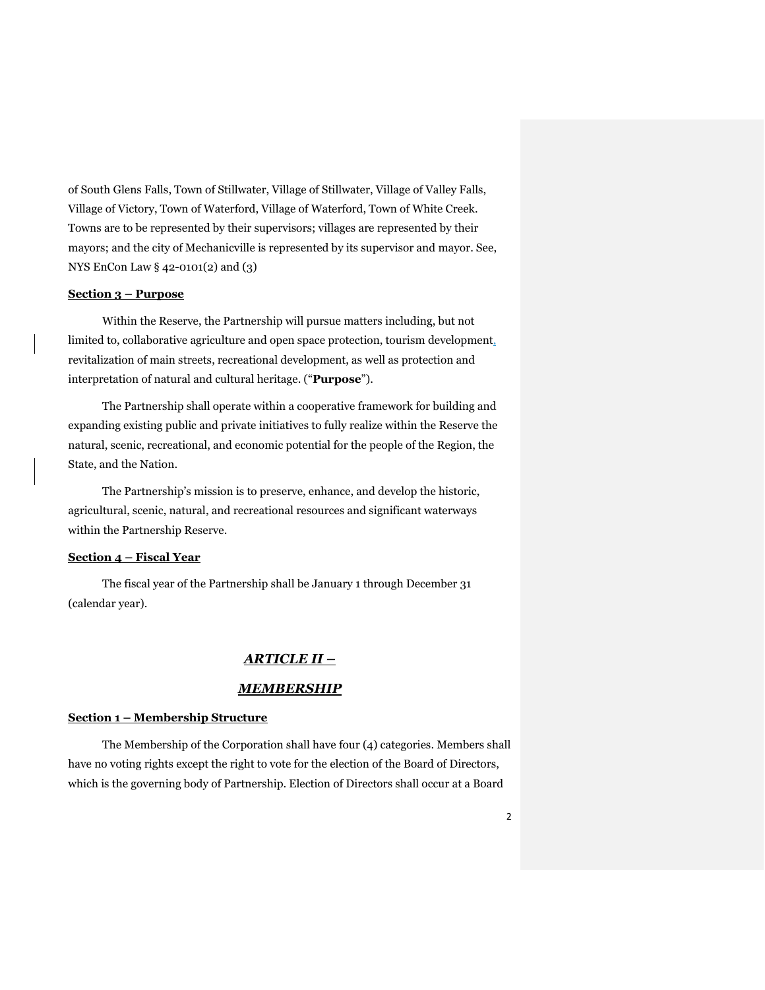of South Glens Falls, Town of Stillwater, Village of Stillwater, Village of Valley Falls, Village of Victory, Town of Waterford, Village of Waterford, Town of White Creek. Towns are to be represented by their supervisors; villages are represented by their mayors; and the city of Mechanicville is represented by its supervisor and mayor. See, NYS EnCon Law § 42-0101(2) and (3)

#### **Section 3 – Purpose**

Within the Reserve, the Partnership will pursue matters including, but not limited to, collaborative agriculture and open space protection, tourism development, revitalization of main streets, recreational development, as well as protection and interpretation of natural and cultural heritage. ("**Purpose**").

The Partnership shall operate within a cooperative framework for building and expanding existing public and private initiatives to fully realize within the Reserve the natural, scenic, recreational, and economic potential for the people of the Region, the State, and the Nation.

The Partnership's mission is to preserve, enhance, and develop the historic, agricultural, scenic, natural, and recreational resources and significant waterways within the Partnership Reserve.

#### **Section 4 – Fiscal Year**

The fiscal year of the Partnership shall be January 1 through December 31 (calendar year).

## *ARTICLE II –*

## *MEMBERSHIP*

#### **Section 1 – Membership Structure**

The Membership of the Corporation shall have four (4) categories. Members shall have no voting rights except the right to vote for the election of the Board of Directors, which is the governing body of Partnership. Election of Directors shall occur at a Board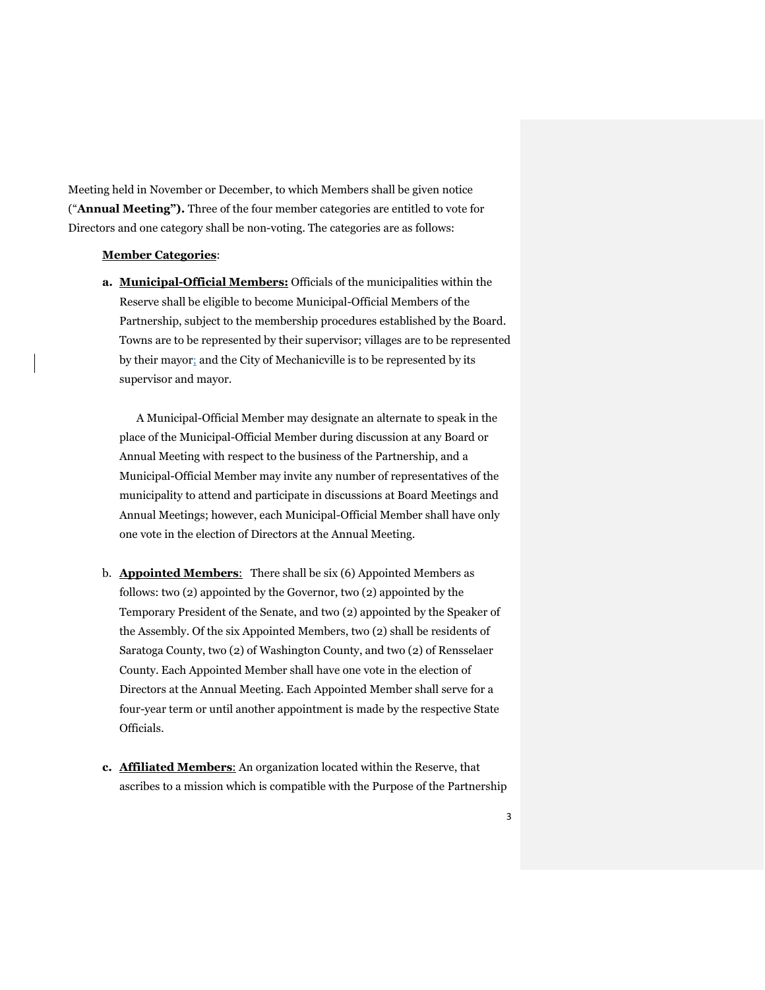Meeting held in November or December, to which Members shall be given notice ("**Annual Meeting").** Three of the four member categories are entitled to vote for Directors and one category shall be non-voting. The categories are as follows:

#### **Member Categories**:

**a. Municipal-Official Members:** Officials of the municipalities within the Reserve shall be eligible to become Municipal-Official Members of the Partnership, subject to the membership procedures established by the Board. Towns are to be represented by their supervisor; villages are to be represented by their mayor; and the City of Mechanicville is to be represented by its supervisor and mayor.

A Municipal-Official Member may designate an alternate to speak in the place of the Municipal-Official Member during discussion at any Board or Annual Meeting with respect to the business of the Partnership, and a Municipal-Official Member may invite any number of representatives of the municipality to attend and participate in discussions at Board Meetings and Annual Meetings; however, each Municipal-Official Member shall have only one vote in the election of Directors at the Annual Meeting.

- b. **Appointed Members**: There shall be six (6) Appointed Members as follows: two (2) appointed by the Governor, two (2) appointed by the Temporary President of the Senate, and two (2) appointed by the Speaker of the Assembly. Of the six Appointed Members, two (2) shall be residents of Saratoga County, two (2) of Washington County, and two (2) of Rensselaer County. Each Appointed Member shall have one vote in the election of Directors at the Annual Meeting. Each Appointed Member shall serve for a four-year term or until another appointment is made by the respective State Officials.
- **c. Affiliated Members**: An organization located within the Reserve, that ascribes to a mission which is compatible with the Purpose of the Partnership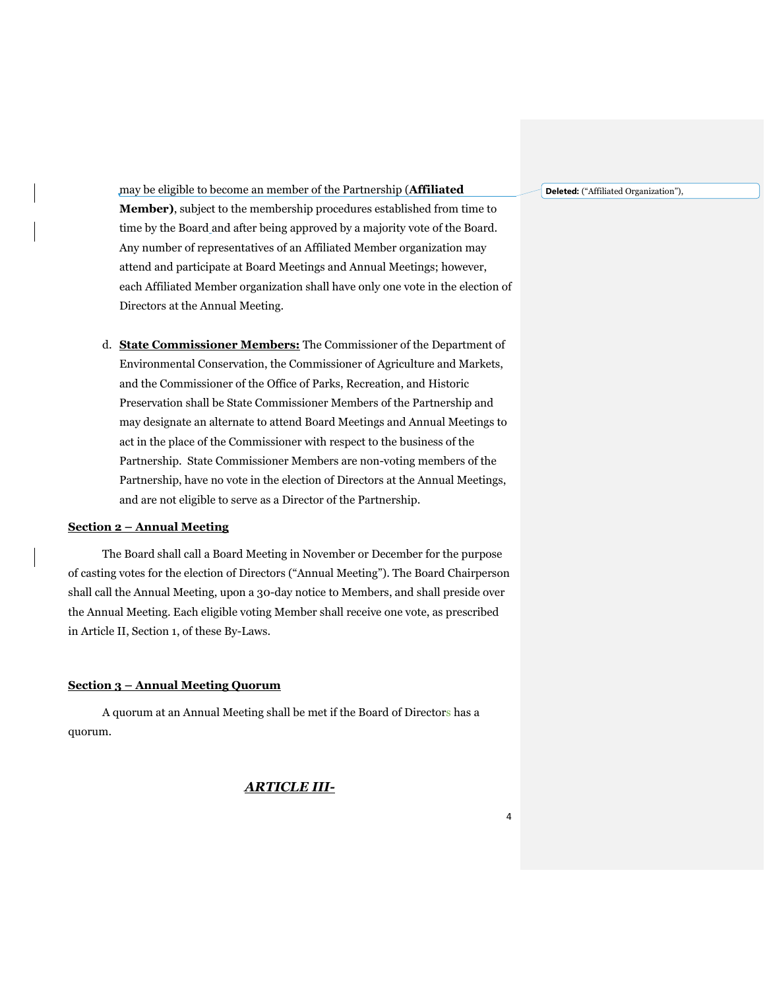**Deleted:** ("Affiliated Organization"),

may be eligible to become an member of the Partnership (**Affiliated Member)**, subject to the membership procedures established from time to time by the Board and after being approved by a majority vote of the Board. Any number of representatives of an Affiliated Member organization may attend and participate at Board Meetings and Annual Meetings; however, each Affiliated Member organization shall have only one vote in the election of Directors at the Annual Meeting.

d. **State Commissioner Members:** The Commissioner of the Department of Environmental Conservation, the Commissioner of Agriculture and Markets, and the Commissioner of the Office of Parks, Recreation, and Historic Preservation shall be State Commissioner Members of the Partnership and may designate an alternate to attend Board Meetings and Annual Meetings to act in the place of the Commissioner with respect to the business of the Partnership. State Commissioner Members are non-voting members of the Partnership, have no vote in the election of Directors at the Annual Meetings, and are not eligible to serve as a Director of the Partnership.

#### **Section 2 – Annual Meeting**

The Board shall call a Board Meeting in November or December for the purpose of casting votes for the election of Directors ("Annual Meeting"). The Board Chairperson shall call the Annual Meeting, upon a 30-day notice to Members, and shall preside over the Annual Meeting. Each eligible voting Member shall receive one vote, as prescribed in Article II, Section 1, of these By-Laws.

#### **Section 3 – Annual Meeting Quorum**

A quorum at an Annual Meeting shall be met if the Board of Directors has a quorum.

## *ARTICLE III-*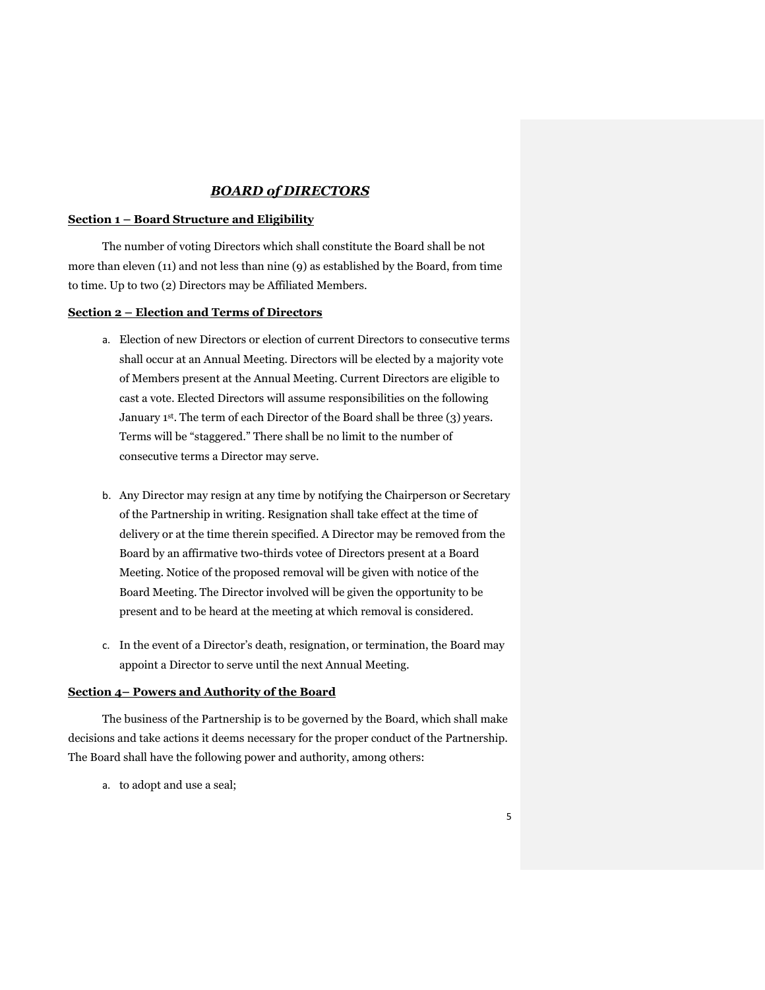## *BOARD of DIRECTORS*

#### **Section 1 – Board Structure and Eligibility**

The number of voting Directors which shall constitute the Board shall be not more than eleven (11) and not less than nine (9) as established by the Board, from time to time. Up to two (2) Directors may be Affiliated Members.

#### **Section 2 – Election and Terms of Directors**

- a. Election of new Directors or election of current Directors to consecutive terms shall occur at an Annual Meeting. Directors will be elected by a majority vote of Members present at the Annual Meeting. Current Directors are eligible to cast a vote. Elected Directors will assume responsibilities on the following January 1<sup>st</sup>. The term of each Director of the Board shall be three (3) years. Terms will be "staggered." There shall be no limit to the number of consecutive terms a Director may serve.
- b. Any Director may resign at any time by notifying the Chairperson or Secretary of the Partnership in writing. Resignation shall take effect at the time of delivery or at the time therein specified. A Director may be removed from the Board by an affirmative two-thirds votee of Directors present at a Board Meeting. Notice of the proposed removal will be given with notice of the Board Meeting. The Director involved will be given the opportunity to be present and to be heard at the meeting at which removal is considered.
- c. In the event of a Director's death, resignation, or termination, the Board may appoint a Director to serve until the next Annual Meeting.

#### **Section 4– Powers and Authority of the Board**

The business of the Partnership is to be governed by the Board, which shall make decisions and take actions it deems necessary for the proper conduct of the Partnership. The Board shall have the following power and authority, among others:

a. to adopt and use a seal;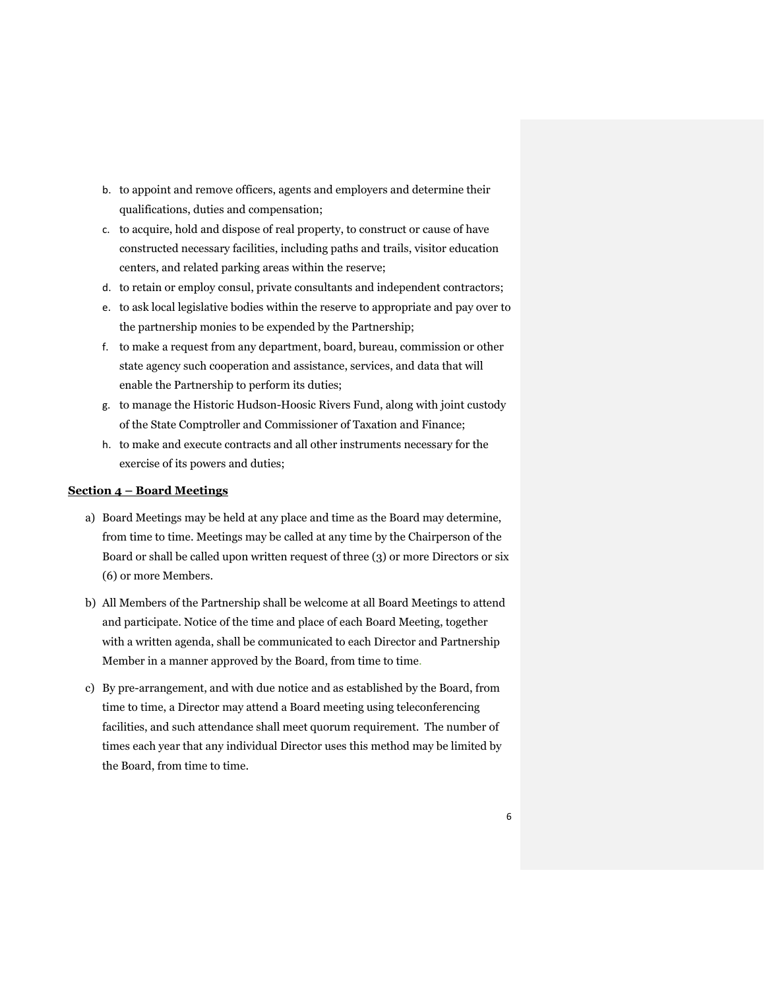- b. to appoint and remove officers, agents and employers and determine their qualifications, duties and compensation;
- c. to acquire, hold and dispose of real property, to construct or cause of have constructed necessary facilities, including paths and trails, visitor education centers, and related parking areas within the reserve;
- d. to retain or employ consul, private consultants and independent contractors;
- e. to ask local legislative bodies within the reserve to appropriate and pay over to the partnership monies to be expended by the Partnership;
- f. to make a request from any department, board, bureau, commission or other state agency such cooperation and assistance, services, and data that will enable the Partnership to perform its duties;
- g. to manage the Historic Hudson-Hoosic Rivers Fund, along with joint custody of the State Comptroller and Commissioner of Taxation and Finance;
- h. to make and execute contracts and all other instruments necessary for the exercise of its powers and duties;

#### **Section 4 – Board Meetings**

- a) Board Meetings may be held at any place and time as the Board may determine, from time to time. Meetings may be called at any time by the Chairperson of the Board or shall be called upon written request of three (3) or more Directors or six (6) or more Members.
- b) All Members of the Partnership shall be welcome at all Board Meetings to attend and participate. Notice of the time and place of each Board Meeting, together with a written agenda, shall be communicated to each Director and Partnership Member in a manner approved by the Board, from time to time.
- c) By pre-arrangement, and with due notice and as established by the Board, from time to time, a Director may attend a Board meeting using teleconferencing facilities, and such attendance shall meet quorum requirement. The number of times each year that any individual Director uses this method may be limited by the Board, from time to time.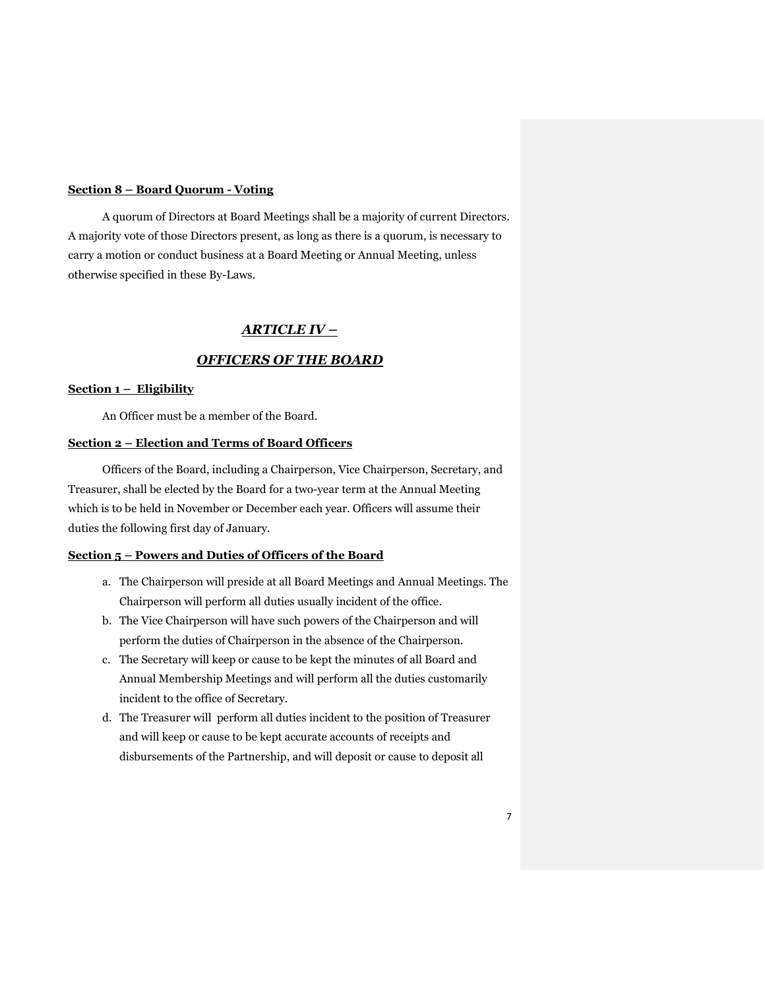#### **Section 8 – Board Quorum - Voting**

A quorum of Directors at Board Meetings shall be a majority of current Directors. A majority vote of those Directors present, as long as there is a quorum, is necessary to carry a motion or conduct business at a Board Meeting or Annual Meeting, unless otherwise specified in these By-Laws.

## *ARTICLE IV –*

## *OFFICERS OF THE BOARD*

#### **Section 1 – Eligibility**

An Officer must be a member of the Board.

#### **Section 2 – Election and Terms of Board Officers**

Officers of the Board, including a Chairperson, Vice Chairperson, Secretary, and Treasurer, shall be elected by the Board for a two-year term at the Annual Meeting which is to be held in November or December each year. Officers will assume their duties the following first day of January.

#### **Section 5 – Powers and Duties of Officers of the Board**

- a. The Chairperson will preside at all Board Meetings and Annual Meetings. The Chairperson will perform all duties usually incident of the office.
- b. The Vice Chairperson will have such powers of the Chairperson and will perform the duties of Chairperson in the absence of the Chairperson.
- c. The Secretary will keep or cause to be kept the minutes of all Board and Annual Membership Meetings and will perform all the duties customarily incident to the office of Secretary.
- d. The Treasurer will perform all duties incident to the position of Treasurer and will keep or cause to be kept accurate accounts of receipts and disbursements of the Partnership, and will deposit or cause to deposit all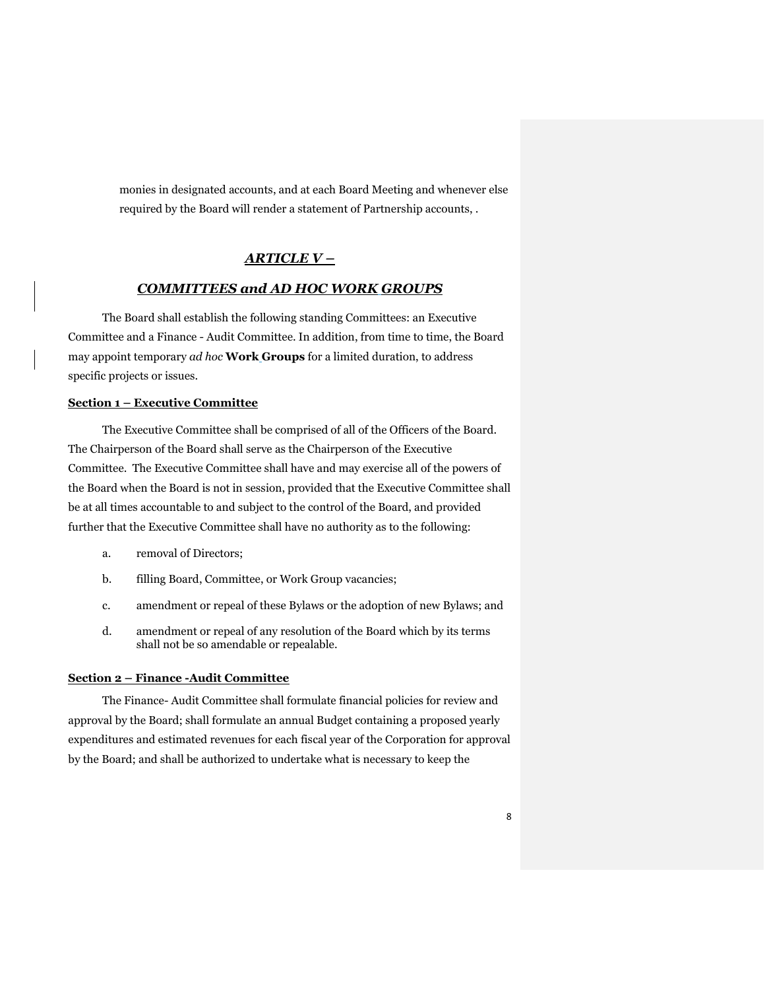monies in designated accounts, and at each Board Meeting and whenever else required by the Board will render a statement of Partnership accounts, .

## *ARTICLE V –*

## *COMMITTEES and AD HOC WORK GROUPS*

The Board shall establish the following standing Committees: an Executive Committee and a Finance - Audit Committee. In addition, from time to time, the Board may appoint temporary *ad hoc* **Work Groups** for a limited duration, to address specific projects or issues.

#### **Section 1 – Executive Committee**

The Executive Committee shall be comprised of all of the Officers of the Board. The Chairperson of the Board shall serve as the Chairperson of the Executive Committee. The Executive Committee shall have and may exercise all of the powers of the Board when the Board is not in session, provided that the Executive Committee shall be at all times accountable to and subject to the control of the Board, and provided further that the Executive Committee shall have no authority as to the following:

- a. removal of Directors;
- b. filling Board, Committee, or Work Group vacancies;
- c. amendment or repeal of these Bylaws or the adoption of new Bylaws; and
- d. amendment or repeal of any resolution of the Board which by its terms shall not be so amendable or repealable.

#### **Section 2 – Finance -Audit Committee**

The Finance- Audit Committee shall formulate financial policies for review and approval by the Board; shall formulate an annual Budget containing a proposed yearly expenditures and estimated revenues for each fiscal year of the Corporation for approval by the Board; and shall be authorized to undertake what is necessary to keep the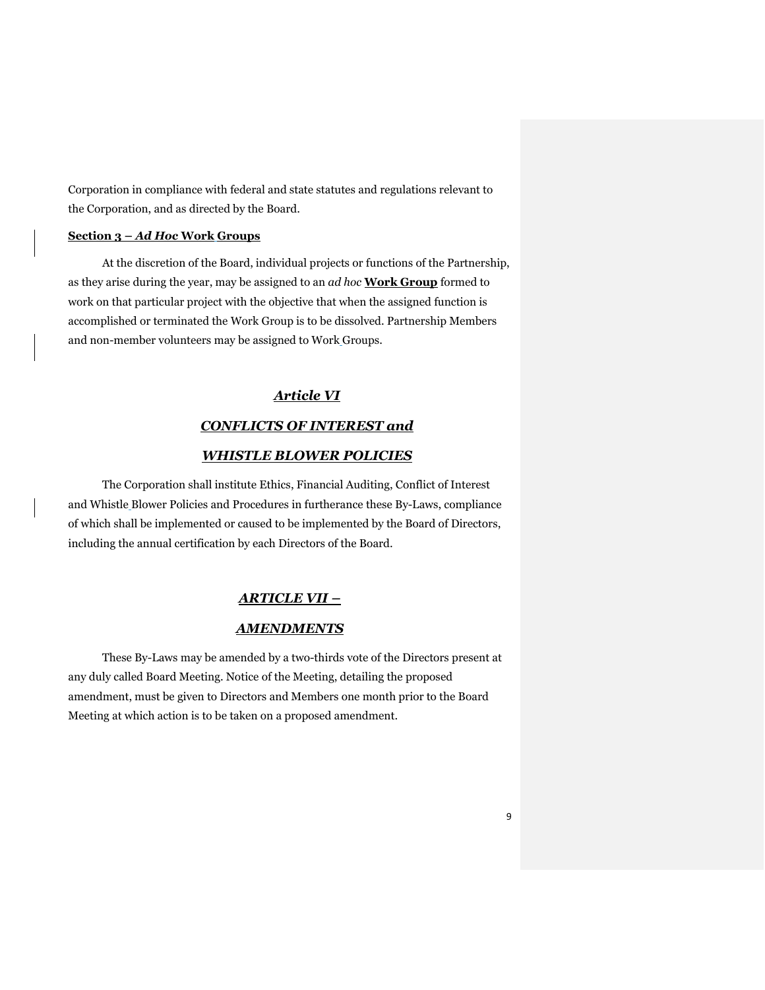Corporation in compliance with federal and state statutes and regulations relevant to the Corporation, and as directed by the Board.

## **Section 3 –** *Ad Hoc* **Work Groups**

At the discretion of the Board, individual projects or functions of the Partnership, as they arise during the year, may be assigned to an *ad hoc* **Work Group** formed to work on that particular project with the objective that when the assigned function is accomplished or terminated the Work Group is to be dissolved. Partnership Members and non-member volunteers may be assigned to Work Groups.

## *Article VI*

## *CONFLICTS OF INTEREST and*

## *WHISTLE BLOWER POLICIES*

The Corporation shall institute Ethics, Financial Auditing, Conflict of Interest and Whistle Blower Policies and Procedures in furtherance these By-Laws, compliance of which shall be implemented or caused to be implemented by the Board of Directors, including the annual certification by each Directors of the Board.

## *ARTICLE VII –*

#### *AMENDMENTS*

These By-Laws may be amended by a two-thirds vote of the Directors present at any duly called Board Meeting. Notice of the Meeting, detailing the proposed amendment, must be given to Directors and Members one month prior to the Board Meeting at which action is to be taken on a proposed amendment.